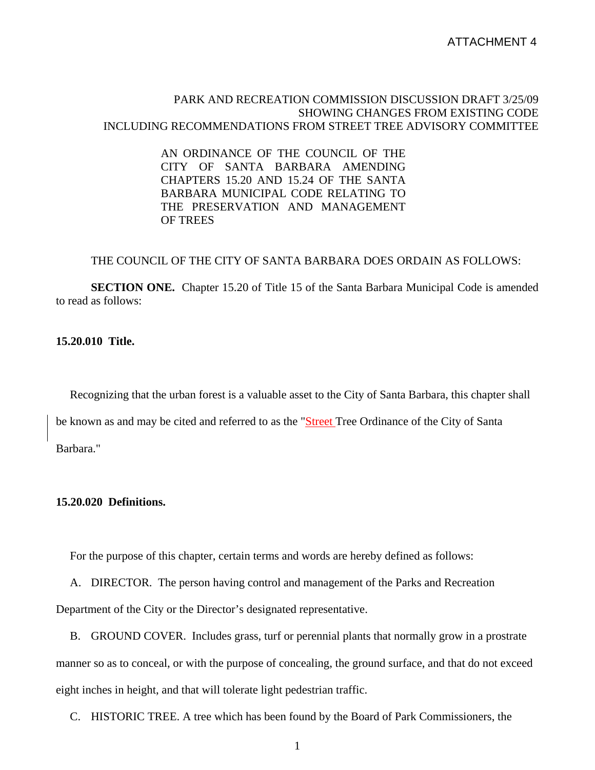## PARK AND RECREATION COMMISSION DISCUSSION DRAFT 3/25/09 SHOWING CHANGES FROM EXISTING CODE INCLUDING RECOMMENDATIONS FROM STREET TREE ADVISORY COMMITTEE

AN ORDINANCE OF THE COUNCIL OF THE CITY OF SANTA BARBARA AMENDING CHAPTERS 15.20 AND 15.24 OF THE SANTA BARBARA MUNICIPAL CODE RELATING TO THE PRESERVATION AND MANAGEMENT OF TREES

### THE COUNCIL OF THE CITY OF SANTA BARBARA DOES ORDAIN AS FOLLOWS:

**SECTION ONE.** Chapter 15.20 of Title 15 of the Santa Barbara Municipal Code is amended to read as follows:

#### **15.20.010 Title.**

 Recognizing that the urban forest is a valuable asset to the City of Santa Barbara, this chapter shall be known as and may be cited and referred to as the "Street Tree Ordinance of the City of Santa Barbara."

## **15.20.020 Definitions.**

For the purpose of this chapter, certain terms and words are hereby defined as follows:

 A. DIRECTOR. The person having control and management of the Parks and Recreation Department of the City or the Director's designated representative.

 B. GROUND COVER. Includes grass, turf or perennial plants that normally grow in a prostrate manner so as to conceal, or with the purpose of concealing, the ground surface, and that do not exceed eight inches in height, and that will tolerate light pedestrian traffic.

C. HISTORIC TREE. A tree which has been found by the Board of Park Commissioners, the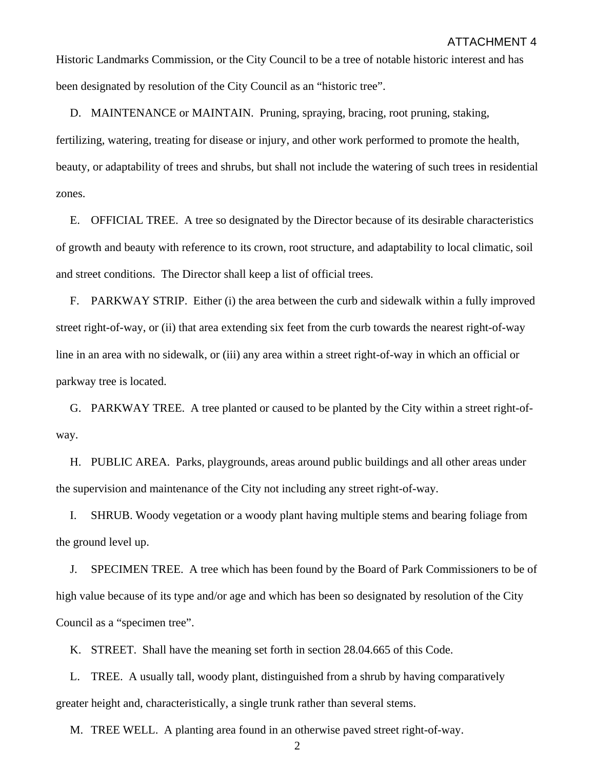Historic Landmarks Commission, or the City Council to be a tree of notable historic interest and has been designated by resolution of the City Council as an "historic tree".

D. MAINTENANCE or MAINTAIN. Pruning, spraying, bracing, root pruning, staking,

fertilizing, watering, treating for disease or injury, and other work performed to promote the health, beauty, or adaptability of trees and shrubs, but shall not include the watering of such trees in residential zones.

 E. OFFICIAL TREE. A tree so designated by the Director because of its desirable characteristics of growth and beauty with reference to its crown, root structure, and adaptability to local climatic, soil and street conditions. The Director shall keep a list of official trees.

 F. PARKWAY STRIP. Either (i) the area between the curb and sidewalk within a fully improved street right-of-way, or (ii) that area extending six feet from the curb towards the nearest right-of-way line in an area with no sidewalk, or (iii) any area within a street right-of-way in which an official or parkway tree is located.

 G. PARKWAY TREE. A tree planted or caused to be planted by the City within a street right-ofway.

 H. PUBLIC AREA. Parks, playgrounds, areas around public buildings and all other areas under the supervision and maintenance of the City not including any street right-of-way.

 I. SHRUB. Woody vegetation or a woody plant having multiple stems and bearing foliage from the ground level up.

 J. SPECIMEN TREE. A tree which has been found by the Board of Park Commissioners to be of high value because of its type and/or age and which has been so designated by resolution of the City Council as a "specimen tree".

K. STREET. Shall have the meaning set forth in section 28.04.665 of this Code.

 L. TREE. A usually tall, woody plant, distinguished from a shrub by having comparatively greater height and, characteristically, a single trunk rather than several stems.

M. TREE WELL. A planting area found in an otherwise paved street right-of-way.

 $\mathfrak{D}$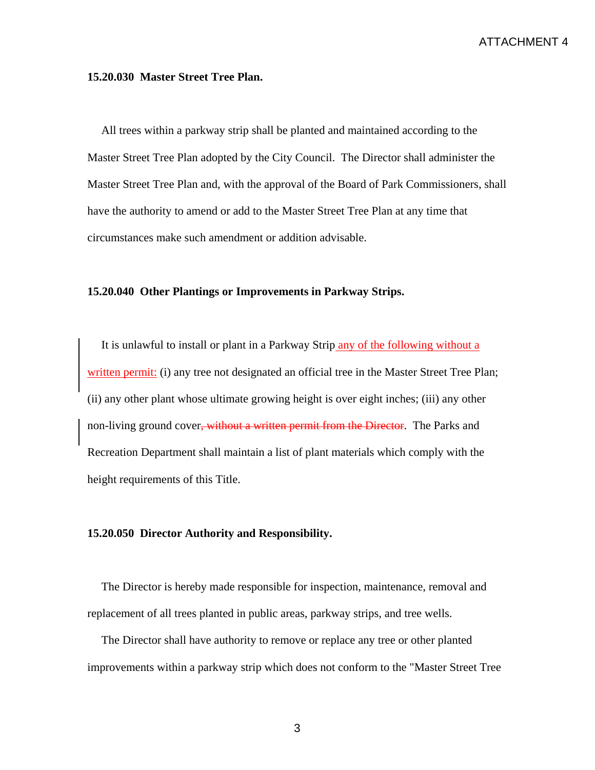## **15.20.030 Master Street Tree Plan.**

 All trees within a parkway strip shall be planted and maintained according to the Master Street Tree Plan adopted by the City Council. The Director shall administer the Master Street Tree Plan and, with the approval of the Board of Park Commissioners, shall have the authority to amend or add to the Master Street Tree Plan at any time that circumstances make such amendment or addition advisable.

## **15.20.040 Other Plantings or Improvements in Parkway Strips.**

 It is unlawful to install or plant in a Parkway Strip any of the following without a written permit: (i) any tree not designated an official tree in the Master Street Tree Plan; (ii) any other plant whose ultimate growing height is over eight inches; (iii) any other non-living ground cover, without a written permit from the Director. The Parks and Recreation Department shall maintain a list of plant materials which comply with the height requirements of this Title.

#### **15.20.050 Director Authority and Responsibility.**

 The Director is hereby made responsible for inspection, maintenance, removal and replacement of all trees planted in public areas, parkway strips, and tree wells.

 The Director shall have authority to remove or replace any tree or other planted improvements within a parkway strip which does not conform to the "Master Street Tree

3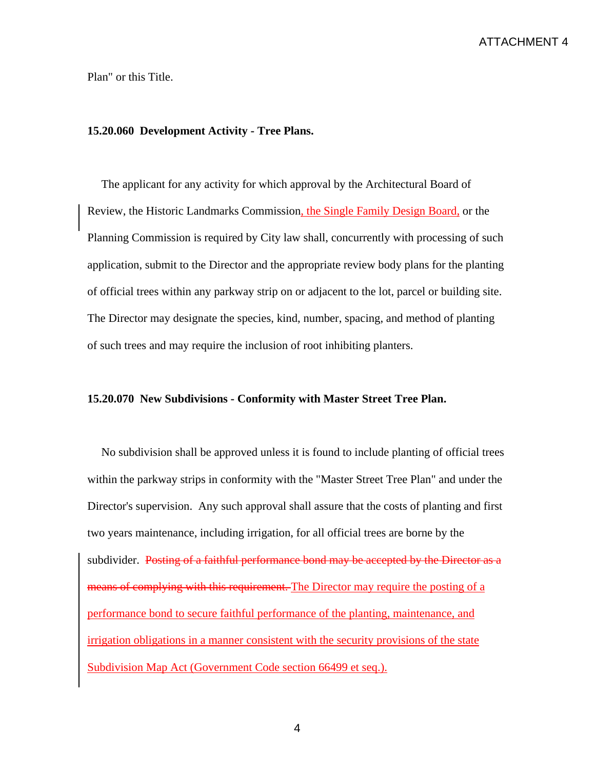# ATTACHMENT 4

Plan" or this Title.

# **15.20.060 Development Activity - Tree Plans.**

 The applicant for any activity for which approval by the Architectural Board of Review, the Historic Landmarks Commission, the Single Family Design Board, or the Planning Commission is required by City law shall, concurrently with processing of such application, submit to the Director and the appropriate review body plans for the planting of official trees within any parkway strip on or adjacent to the lot, parcel or building site. The Director may designate the species, kind, number, spacing, and method of planting of such trees and may require the inclusion of root inhibiting planters.

#### **15.20.070 New Subdivisions - Conformity with Master Street Tree Plan.**

 No subdivision shall be approved unless it is found to include planting of official trees within the parkway strips in conformity with the "Master Street Tree Plan" and under the Director's supervision. Any such approval shall assure that the costs of planting and first two years maintenance, including irrigation, for all official trees are borne by the subdivider. Posting of a faithful performance bond may be accepted by the Director as a means of complying with this requirement. The Director may require the posting of a performance bond to secure faithful performance of the planting, maintenance, and irrigation obligations in a manner consistent with the security provisions of the state Subdivision Map Act (Government Code section 66499 et seq.).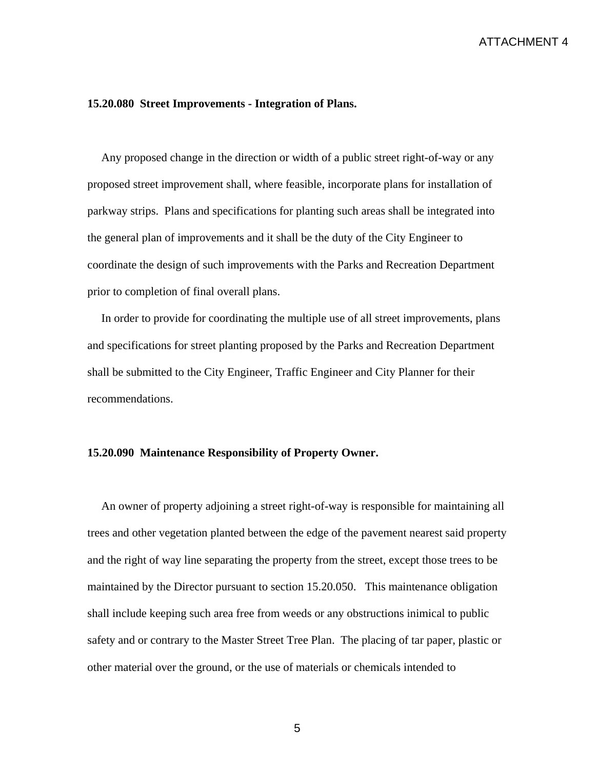#### **15.20.080 Street Improvements - Integration of Plans.**

 Any proposed change in the direction or width of a public street right-of-way or any proposed street improvement shall, where feasible, incorporate plans for installation of parkway strips. Plans and specifications for planting such areas shall be integrated into the general plan of improvements and it shall be the duty of the City Engineer to coordinate the design of such improvements with the Parks and Recreation Department prior to completion of final overall plans.

 In order to provide for coordinating the multiple use of all street improvements, plans and specifications for street planting proposed by the Parks and Recreation Department shall be submitted to the City Engineer, Traffic Engineer and City Planner for their recommendations.

### **15.20.090 Maintenance Responsibility of Property Owner.**

 An owner of property adjoining a street right-of-way is responsible for maintaining all trees and other vegetation planted between the edge of the pavement nearest said property and the right of way line separating the property from the street, except those trees to be maintained by the Director pursuant to section 15.20.050. This maintenance obligation shall include keeping such area free from weeds or any obstructions inimical to public safety and or contrary to the Master Street Tree Plan. The placing of tar paper, plastic or other material over the ground, or the use of materials or chemicals intended to

5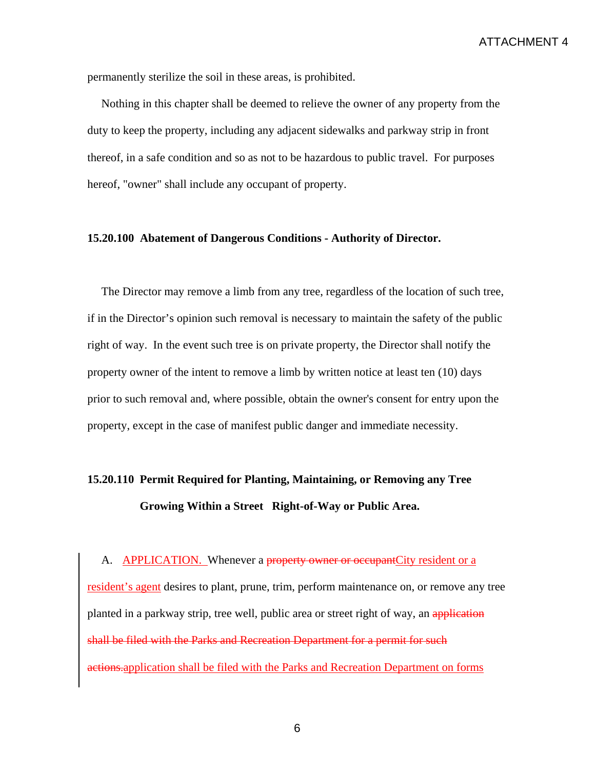permanently sterilize the soil in these areas, is prohibited.

 Nothing in this chapter shall be deemed to relieve the owner of any property from the duty to keep the property, including any adjacent sidewalks and parkway strip in front thereof, in a safe condition and so as not to be hazardous to public travel. For purposes hereof, "owner" shall include any occupant of property.

## **15.20.100 Abatement of Dangerous Conditions - Authority of Director.**

 The Director may remove a limb from any tree, regardless of the location of such tree, if in the Director's opinion such removal is necessary to maintain the safety of the public right of way. In the event such tree is on private property, the Director shall notify the property owner of the intent to remove a limb by written notice at least ten (10) days prior to such removal and, where possible, obtain the owner's consent for entry upon the property, except in the case of manifest public danger and immediate necessity.

# **15.20.110 Permit Required for Planting, Maintaining, or Removing any Tree Growing Within a Street Right-of-Way or Public Area.**

A. **APPLICATION.** Whenever a property owner or occupant City resident or a resident's agent desires to plant, prune, trim, perform maintenance on, or remove any tree planted in a parkway strip, tree well, public area or street right of way, an application shall be filed with the Parks and Recreation Department for a permit for such actions.application shall be filed with the Parks and Recreation Department on forms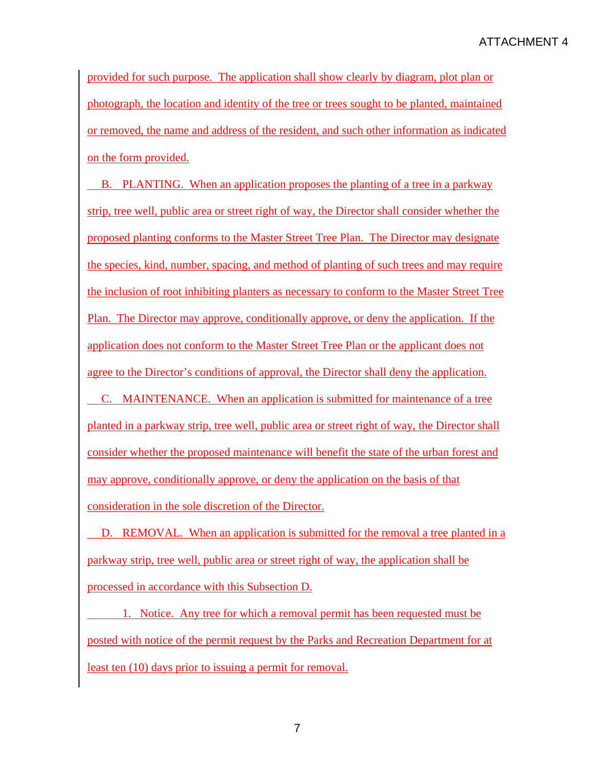provided for such purpose. The application shall show clearly by diagram, plot plan or photograph, the location and identity of the tree or trees sought to be planted, maintained or removed, the name and address of the resident, and such other information as indicated on the form provided.

 B. PLANTING. When an application proposes the planting of a tree in a parkway strip, tree well, public area or street right of way, the Director shall consider whether the proposed planting conforms to the Master Street Tree Plan. The Director may designate the species, kind, number, spacing, and method of planting of such trees and may require the inclusion of root inhibiting planters as necessary to conform to the Master Street Tree Plan. The Director may approve, conditionally approve, or deny the application. If the application does not conform to the Master Street Tree Plan or the applicant does not agree to the Director's conditions of approval, the Director shall deny the application.

 C. MAINTENANCE. When an application is submitted for maintenance of a tree planted in a parkway strip, tree well, public area or street right of way, the Director shall consider whether the proposed maintenance will benefit the state of the urban forest and may approve, conditionally approve, or deny the application on the basis of that consideration in the sole discretion of the Director.

 D. REMOVAL. When an application is submitted for the removal a tree planted in a parkway strip, tree well, public area or street right of way, the application shall be processed in accordance with this Subsection D.

 1. Notice. Any tree for which a removal permit has been requested must be posted with notice of the permit request by the Parks and Recreation Department for at least ten (10) days prior to issuing a permit for removal.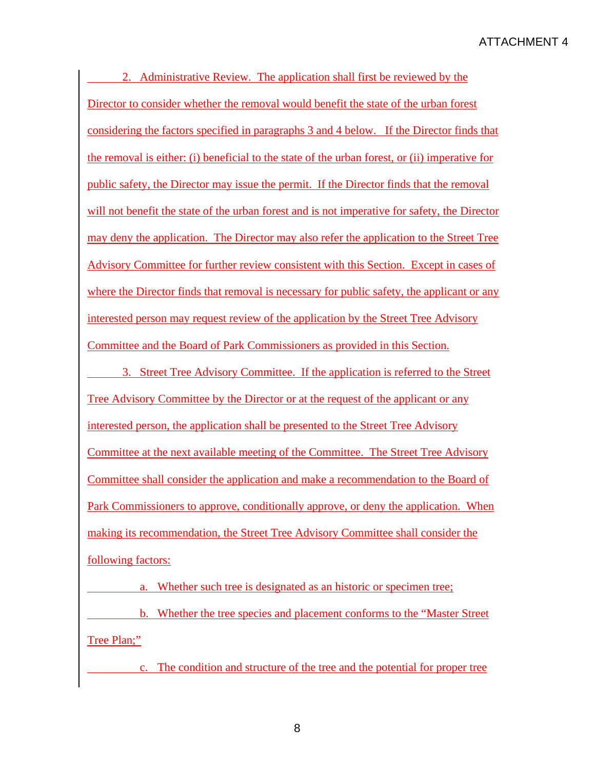2. Administrative Review. The application shall first be reviewed by the Director to consider whether the removal would benefit the state of the urban forest considering the factors specified in paragraphs 3 and 4 below. If the Director finds that the removal is either: (i) beneficial to the state of the urban forest, or (ii) imperative for public safety, the Director may issue the permit. If the Director finds that the removal will not benefit the state of the urban forest and is not imperative for safety, the Director may deny the application. The Director may also refer the application to the Street Tree Advisory Committee for further review consistent with this Section. Except in cases of where the Director finds that removal is necessary for public safety, the applicant or any interested person may request review of the application by the Street Tree Advisory Committee and the Board of Park Commissioners as provided in this Section.

 3. Street Tree Advisory Committee. If the application is referred to the Street Tree Advisory Committee by the Director or at the request of the applicant or any interested person, the application shall be presented to the Street Tree Advisory Committee at the next available meeting of the Committee. The Street Tree Advisory Committee shall consider the application and make a recommendation to the Board of Park Commissioners to approve, conditionally approve, or deny the application. When making its recommendation, the Street Tree Advisory Committee shall consider the following factors:

 a. Whether such tree is designated as an historic or specimen tree; b. Whether the tree species and placement conforms to the "Master Street Tree Plan;"

c. The condition and structure of the tree and the potential for proper tree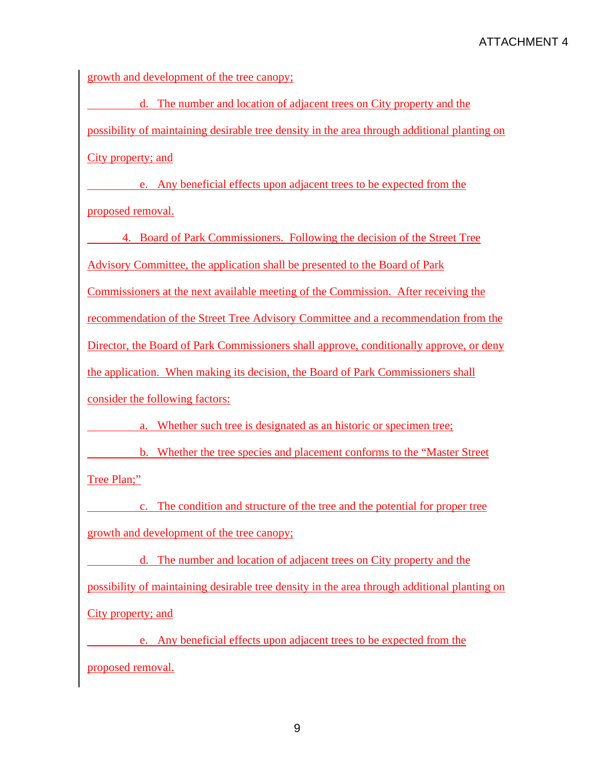growth and development of the tree canopy;

 d. The number and location of adjacent trees on City property and the possibility of maintaining desirable tree density in the area through additional planting on City property; and

 e. Any beneficial effects upon adjacent trees to be expected from the proposed removal.

 4. Board of Park Commissioners. Following the decision of the Street Tree Advisory Committee, the application shall be presented to the Board of Park Commissioners at the next available meeting of the Commission. After receiving the recommendation of the Street Tree Advisory Committee and a recommendation from the Director, the Board of Park Commissioners shall approve, conditionally approve, or deny the application. When making its decision, the Board of Park Commissioners shall consider the following factors:

a. Whether such tree is designated as an historic or specimen tree;

 b. Whether the tree species and placement conforms to the "Master Street Tree Plan;"

 c. The condition and structure of the tree and the potential for proper tree growth and development of the tree canopy;

 d. The number and location of adjacent trees on City property and the possibility of maintaining desirable tree density in the area through additional planting on City property; and

 e. Any beneficial effects upon adjacent trees to be expected from the proposed removal.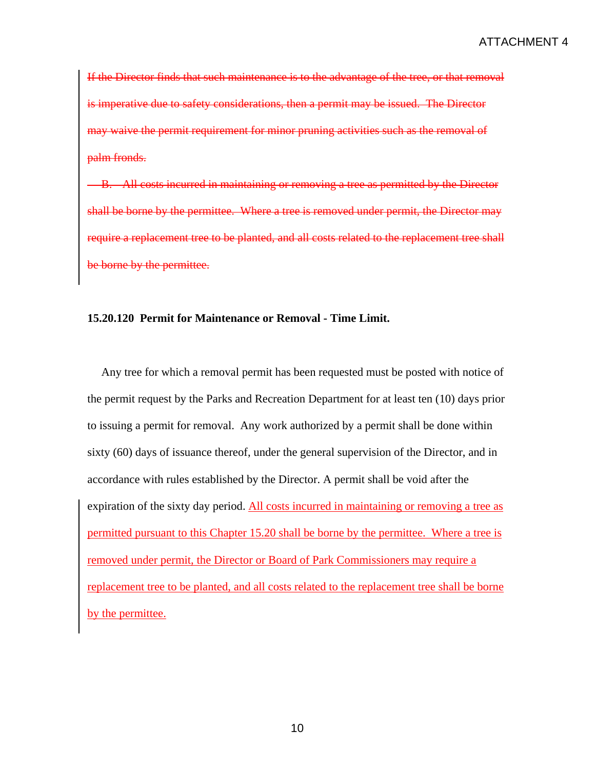If the Director finds that such maintenance is to the advantage of the tree, or that removal is imperative due to safety considerations, then a permit may be issued. The Director may waive the permit requirement for minor pruning activities such as the removal of palm fronds.

B. All costs incurred in maintaining or removing a tree as permitted by the Director shall be borne by the permittee. Where a tree is removed under permit, the Director may require a replacement tree to be planted, and all costs related to the replacement tree shall be borne by the permittee.

# **15.20.120 Permit for Maintenance or Removal - Time Limit.**

 Any tree for which a removal permit has been requested must be posted with notice of the permit request by the Parks and Recreation Department for at least ten (10) days prior to issuing a permit for removal. Any work authorized by a permit shall be done within sixty (60) days of issuance thereof, under the general supervision of the Director, and in accordance with rules established by the Director. A permit shall be void after the expiration of the sixty day period. All costs incurred in maintaining or removing a tree as permitted pursuant to this Chapter 15.20 shall be borne by the permittee. Where a tree is removed under permit, the Director or Board of Park Commissioners may require a replacement tree to be planted, and all costs related to the replacement tree shall be borne by the permittee.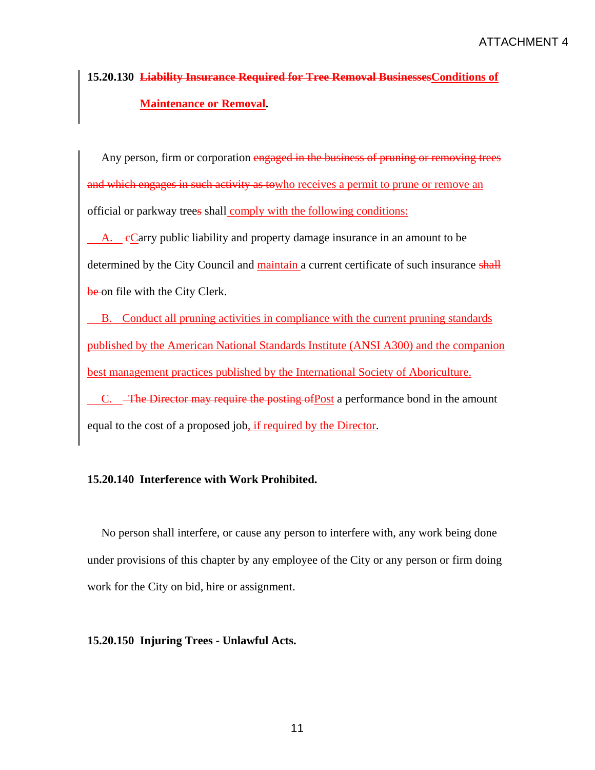# **15.20.130 Liability Insurance Required for Tree Removal BusinessesConditions of Maintenance or Removal.**

Any person, firm or corporation engaged in the business of pruning or removing trees and which engages in such activity as towho receives a permit to prune or remove an official or parkway trees shall comply with the following conditions:

A.  $\epsilon$ Carry public liability and property damage insurance in an amount to be determined by the City Council and maintain a current certificate of such insurance shall be on file with the City Clerk.

 B. Conduct all pruning activities in compliance with the current pruning standards published by the American National Standards Institute (ANSI A300) and the companion best management practices published by the International Society of Aboriculture.

C. <del>The Director may require the posting of</del>Post a performance bond in the amount equal to the cost of a proposed job, if required by the Director.

# **15.20.140 Interference with Work Prohibited.**

 No person shall interfere, or cause any person to interfere with, any work being done under provisions of this chapter by any employee of the City or any person or firm doing work for the City on bid, hire or assignment.

# **15.20.150 Injuring Trees - Unlawful Acts.**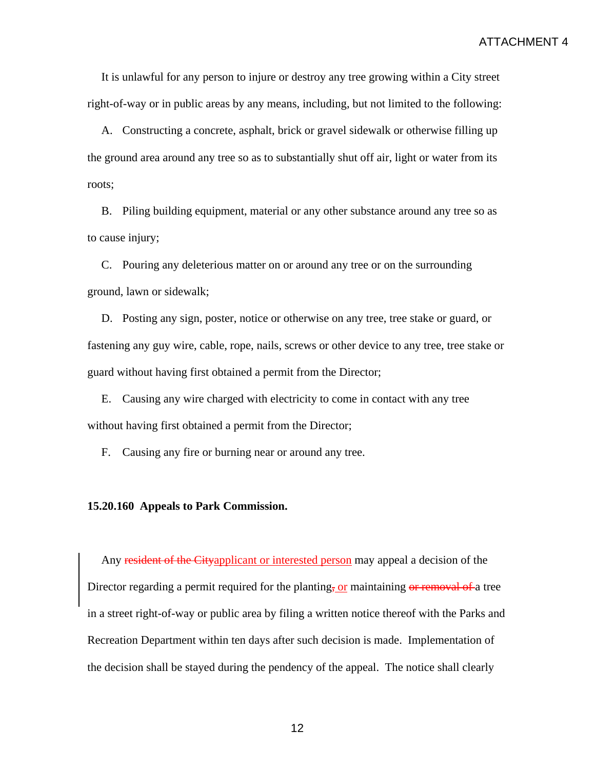It is unlawful for any person to injure or destroy any tree growing within a City street right-of-way or in public areas by any means, including, but not limited to the following:

 A. Constructing a concrete, asphalt, brick or gravel sidewalk or otherwise filling up the ground area around any tree so as to substantially shut off air, light or water from its roots;

 B. Piling building equipment, material or any other substance around any tree so as to cause injury;

 C. Pouring any deleterious matter on or around any tree or on the surrounding ground, lawn or sidewalk;

 D. Posting any sign, poster, notice or otherwise on any tree, tree stake or guard, or fastening any guy wire, cable, rope, nails, screws or other device to any tree, tree stake or guard without having first obtained a permit from the Director;

 E. Causing any wire charged with electricity to come in contact with any tree without having first obtained a permit from the Director;

F. Causing any fire or burning near or around any tree.

## **15.20.160 Appeals to Park Commission.**

Any resident of the Cityapplicant or interested person may appeal a decision of the Director regarding a permit required for the planting, or maintaining or removal of a tree in a street right-of-way or public area by filing a written notice thereof with the Parks and Recreation Department within ten days after such decision is made. Implementation of the decision shall be stayed during the pendency of the appeal. The notice shall clearly

12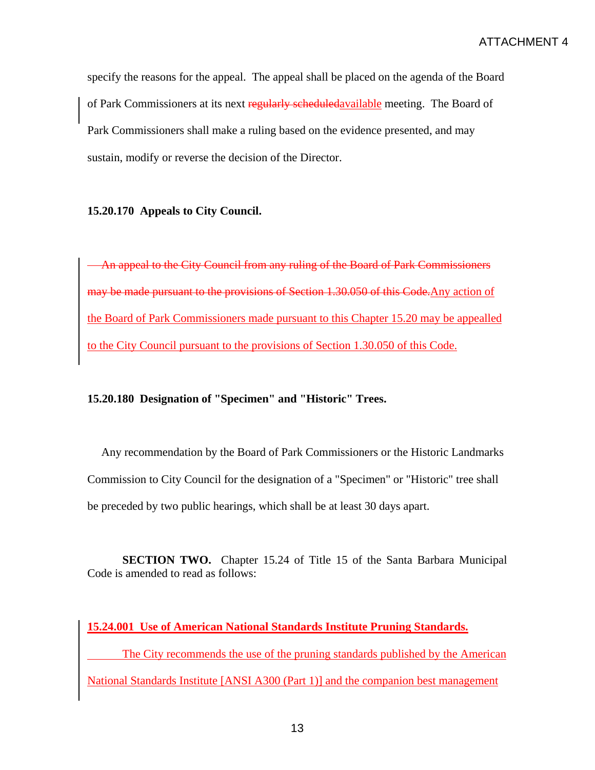specify the reasons for the appeal. The appeal shall be placed on the agenda of the Board of Park Commissioners at its next regularly scheduledavailable meeting. The Board of Park Commissioners shall make a ruling based on the evidence presented, and may sustain, modify or reverse the decision of the Director.

# **15.20.170 Appeals to City Council.**

An appeal to the City Council from any ruling of the Board of Park Commissioners may be made pursuant to the provisions of Section 1.30.050 of this Code.Any action of the Board of Park Commissioners made pursuant to this Chapter 15.20 may be appealled to the City Council pursuant to the provisions of Section 1.30.050 of this Code.

# **15.20.180 Designation of "Specimen" and "Historic" Trees.**

 Any recommendation by the Board of Park Commissioners or the Historic Landmarks Commission to City Council for the designation of a "Specimen" or "Historic" tree shall be preceded by two public hearings, which shall be at least 30 days apart.

**SECTION TWO.** Chapter 15.24 of Title 15 of the Santa Barbara Municipal Code is amended to read as follows:

# **15.24.001 Use of American National Standards Institute Pruning Standards.**

 The City recommends the use of the pruning standards published by the American National Standards Institute [ANSI A300 (Part 1)] and the companion best management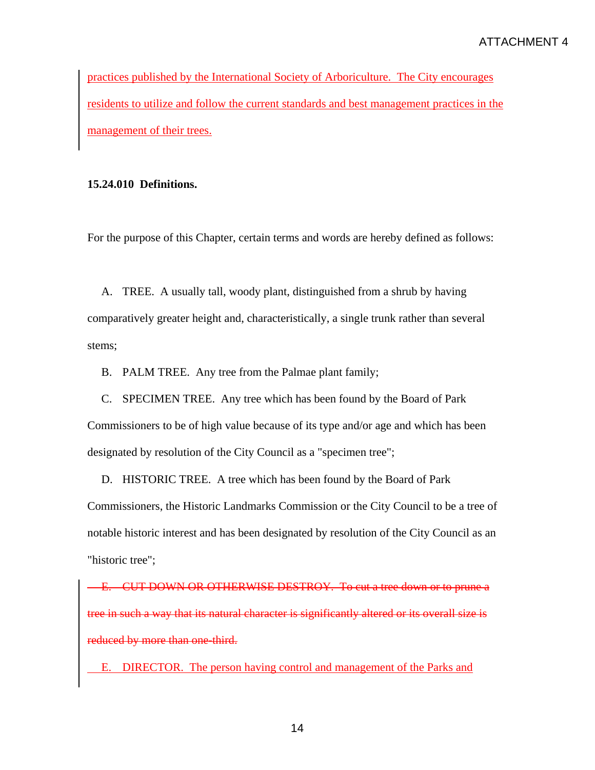practices published by the International Society of Arboriculture. The City encourages residents to utilize and follow the current standards and best management practices in the management of their trees.

# **15.24.010 Definitions.**

For the purpose of this Chapter, certain terms and words are hereby defined as follows:

 A. TREE. A usually tall, woody plant, distinguished from a shrub by having comparatively greater height and, characteristically, a single trunk rather than several stems;

B. PALM TREE. Any tree from the Palmae plant family;

 C. SPECIMEN TREE. Any tree which has been found by the Board of Park Commissioners to be of high value because of its type and/or age and which has been designated by resolution of the City Council as a "specimen tree";

 D. HISTORIC TREE. A tree which has been found by the Board of Park Commissioners, the Historic Landmarks Commission or the City Council to be a tree of notable historic interest and has been designated by resolution of the City Council as an "historic tree";

E. CUT DOWN OR OTHERWISE DESTROY. To cut a tree down or to prune a tree in such a way that its natural character is significantly altered or its overall size is reduced by more than one-third.

E. DIRECTOR. The person having control and management of the Parks and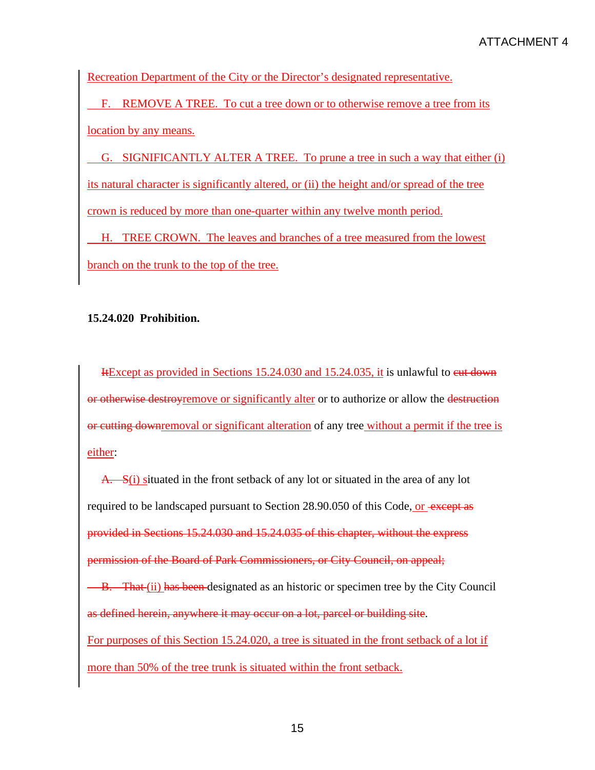Recreation Department of the City or the Director's designated representative.

 F. REMOVE A TREE. To cut a tree down or to otherwise remove a tree from its location by any means.

 G. SIGNIFICANTLY ALTER A TREE. To prune a tree in such a way that either (i) its natural character is significantly altered, or (ii) the height and/or spread of the tree crown is reduced by more than one-quarter within any twelve month period.

 H. TREE CROWN. The leaves and branches of a tree measured from the lowest branch on the trunk to the top of the tree.

# **15.24.020 Prohibition.**

Hexcept as provided in Sections 15.24.030 and 15.24.035, it is unlawful to eut down or otherwise destroyremove or significantly alter or to authorize or allow the destruction or cutting downremoval or significant alteration of any tree without a permit if the tree is either:

A. S(i) situated in the front setback of any lot or situated in the area of any lot required to be landscaped pursuant to Section 28.90.050 of this Code, or except as provided in Sections 15.24.030 and 15.24.035 of this chapter, without the express permission of the Board of Park Commissioners, or City Council, on appeal; **B.** That (ii) has been designated as an historic or specimen tree by the City Council as defined herein, anywhere it may occur on a lot, parcel or building site. For purposes of this Section 15.24.020, a tree is situated in the front setback of a lot if more than 50% of the tree trunk is situated within the front setback.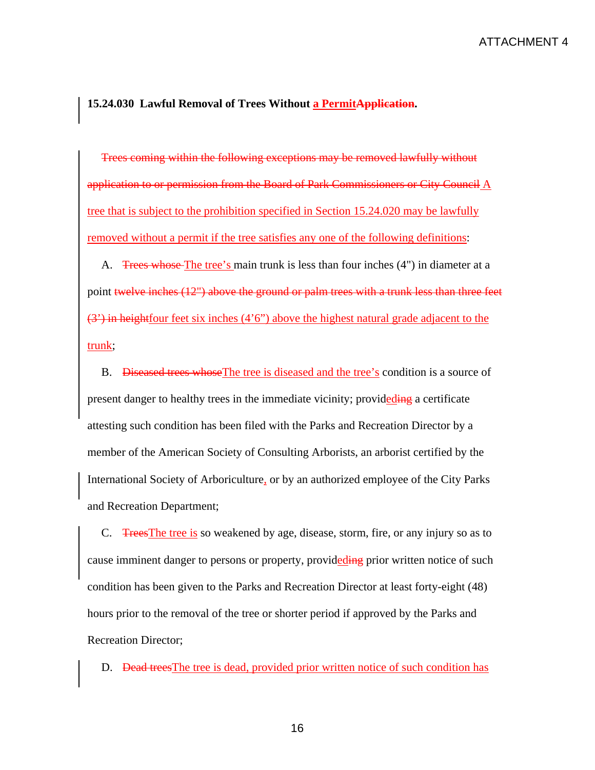## **15.24.030 Lawful Removal of Trees Without a PermitApplication.**

Trees coming within the following exceptions may be removed lawfully without application to or permission from the Board of Park Commissioners or City Council A tree that is subject to the prohibition specified in Section 15.24.020 may be lawfully removed without a permit if the tree satisfies any one of the following definitions:

A. Trees whose The tree's main trunk is less than four inches (4") in diameter at a point twelve inches (12") above the ground or palm trees with a trunk less than three feet (3') in heightfour feet six inches (4'6") above the highest natural grade adjacent to the trunk;

 B. Diseased trees whoseThe tree is diseased and the tree's condition is a source of present danger to healthy trees in the immediate vicinity; provideding a certificate attesting such condition has been filed with the Parks and Recreation Director by a member of the American Society of Consulting Arborists, an arborist certified by the International Society of Arboriculture, or by an authorized employee of the City Parks and Recreation Department;

 C. TreesThe tree is so weakened by age, disease, storm, fire, or any injury so as to cause imminent danger to persons or property, provideding prior written notice of such condition has been given to the Parks and Recreation Director at least forty-eight (48) hours prior to the removal of the tree or shorter period if approved by the Parks and Recreation Director;

D. Dead trees The tree is dead, provided prior written notice of such condition has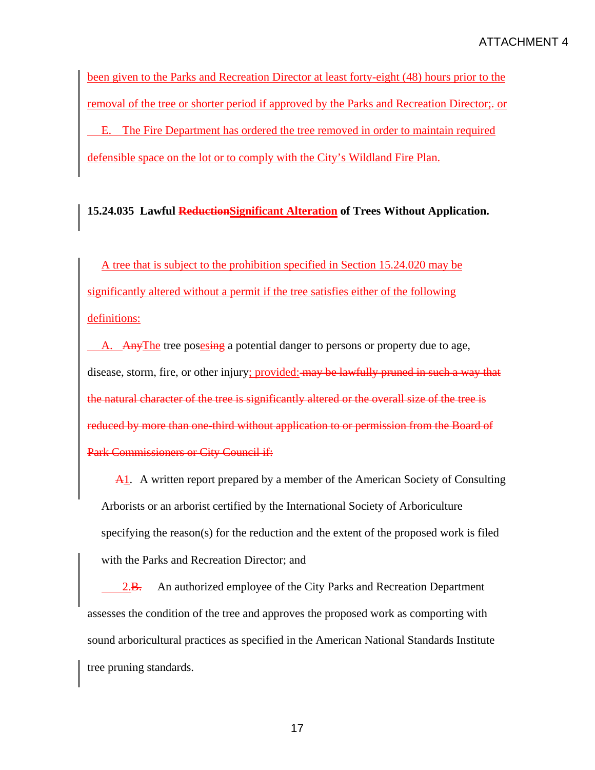been given to the Parks and Recreation Director at least forty-eight (48) hours prior to the removal of the tree or shorter period if approved by the Parks and Recreation Director;- or E. The Fire Department has ordered the tree removed in order to maintain required defensible space on the lot or to comply with the City's Wildland Fire Plan.

# **15.24.035 Lawful ReductionSignificant Alteration of Trees Without Application.**

A tree that is subject to the prohibition specified in Section 15.24.020 may be significantly altered without a permit if the tree satisfies either of the following definitions:

A. Any The tree posesing a potential danger to persons or property due to age, disease, storm, fire, or other injury; provided: may be lawfully pruned in such a way that the natural character of the tree is significantly altered or the overall size of the tree is reduced by more than one-third without application to or permission from the Board of Park Commissioners or City Council if:

A1. A written report prepared by a member of the American Society of Consulting Arborists or an arborist certified by the International Society of Arboriculture specifying the reason(s) for the reduction and the extent of the proposed work is filed with the Parks and Recreation Director; and

2.B. An authorized employee of the City Parks and Recreation Department assesses the condition of the tree and approves the proposed work as comporting with sound arboricultural practices as specified in the American National Standards Institute tree pruning standards.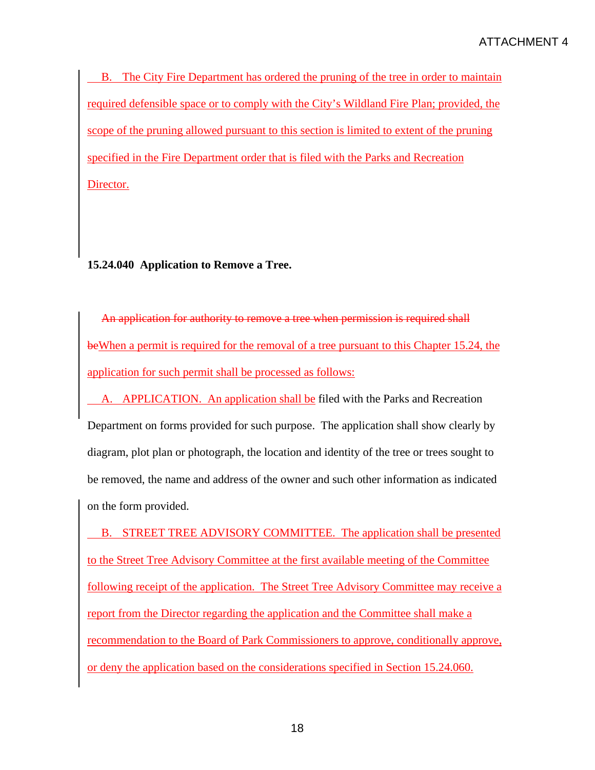B. The City Fire Department has ordered the pruning of the tree in order to maintain required defensible space or to comply with the City's Wildland Fire Plan; provided, the scope of the pruning allowed pursuant to this section is limited to extent of the pruning specified in the Fire Department order that is filed with the Parks and Recreation Director.

# **15.24.040 Application to Remove a Tree.**

An application for authority to remove a tree when permission is required shall beWhen a permit is required for the removal of a tree pursuant to this Chapter 15.24, the application for such permit shall be processed as follows:

 A. APPLICATION. An application shall be filed with the Parks and Recreation Department on forms provided for such purpose. The application shall show clearly by diagram, plot plan or photograph, the location and identity of the tree or trees sought to be removed, the name and address of the owner and such other information as indicated on the form provided.

 B. STREET TREE ADVISORY COMMITTEE. The application shall be presented to the Street Tree Advisory Committee at the first available meeting of the Committee following receipt of the application. The Street Tree Advisory Committee may receive a report from the Director regarding the application and the Committee shall make a recommendation to the Board of Park Commissioners to approve, conditionally approve, or deny the application based on the considerations specified in Section 15.24.060.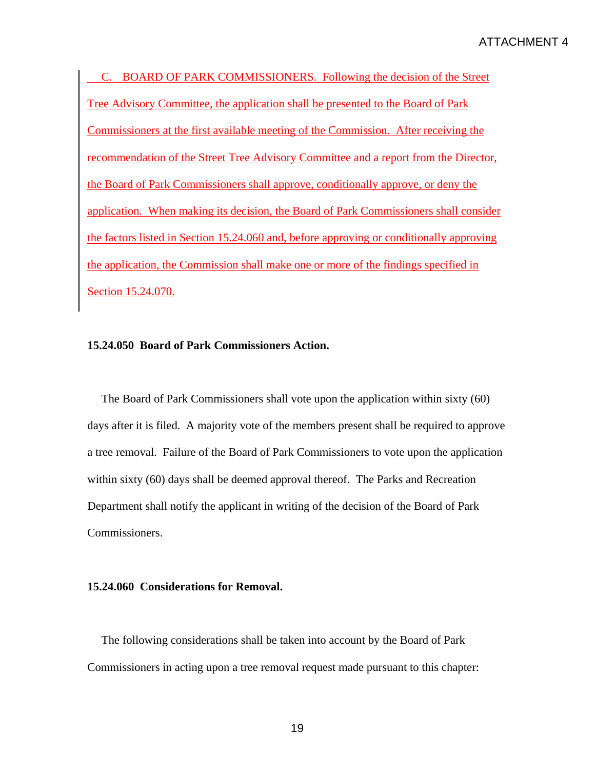C. BOARD OF PARK COMMISSIONERS. Following the decision of the Street Tree Advisory Committee, the application shall be presented to the Board of Park Commissioners at the first available meeting of the Commission. After receiving the recommendation of the Street Tree Advisory Committee and a report from the Director, the Board of Park Commissioners shall approve, conditionally approve, or deny the application. When making its decision, the Board of Park Commissioners shall consider the factors listed in Section 15.24.060 and, before approving or conditionally approving the application, the Commission shall make one or more of the findings specified in Section 15.24.070.

# **15.24.050 Board of Park Commissioners Action.**

 The Board of Park Commissioners shall vote upon the application within sixty (60) days after it is filed. A majority vote of the members present shall be required to approve a tree removal. Failure of the Board of Park Commissioners to vote upon the application within sixty (60) days shall be deemed approval thereof. The Parks and Recreation Department shall notify the applicant in writing of the decision of the Board of Park Commissioners.

#### **15.24.060 Considerations for Removal.**

 The following considerations shall be taken into account by the Board of Park Commissioners in acting upon a tree removal request made pursuant to this chapter: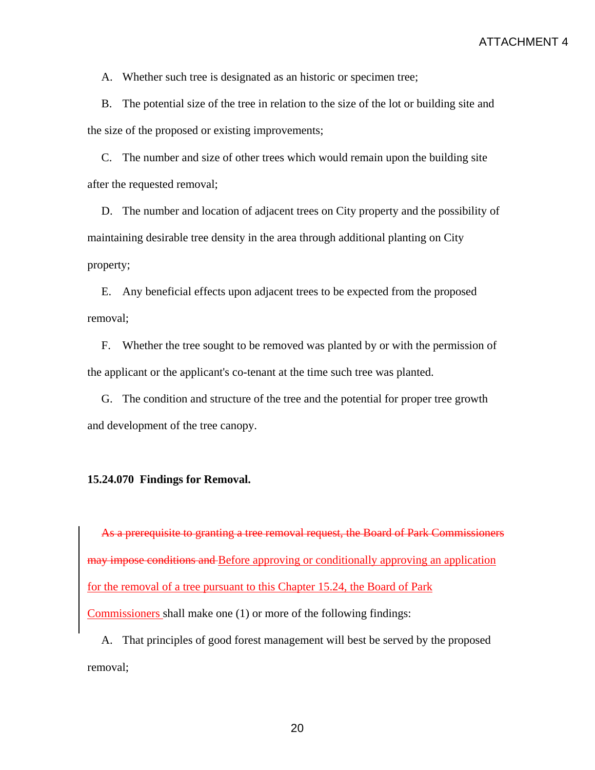A. Whether such tree is designated as an historic or specimen tree;

 B. The potential size of the tree in relation to the size of the lot or building site and the size of the proposed or existing improvements;

 C. The number and size of other trees which would remain upon the building site after the requested removal;

 D. The number and location of adjacent trees on City property and the possibility of maintaining desirable tree density in the area through additional planting on City property;

 E. Any beneficial effects upon adjacent trees to be expected from the proposed removal;

 F. Whether the tree sought to be removed was planted by or with the permission of the applicant or the applicant's co-tenant at the time such tree was planted.

 G. The condition and structure of the tree and the potential for proper tree growth and development of the tree canopy.

# **15.24.070 Findings for Removal.**

As a prerequisite to granting a tree removal request, the Board of Park Commissioners may impose conditions and Before approving or conditionally approving an application for the removal of a tree pursuant to this Chapter 15.24, the Board of Park Commissioners shall make one (1) or more of the following findings:

 A. That principles of good forest management will best be served by the proposed removal;

20